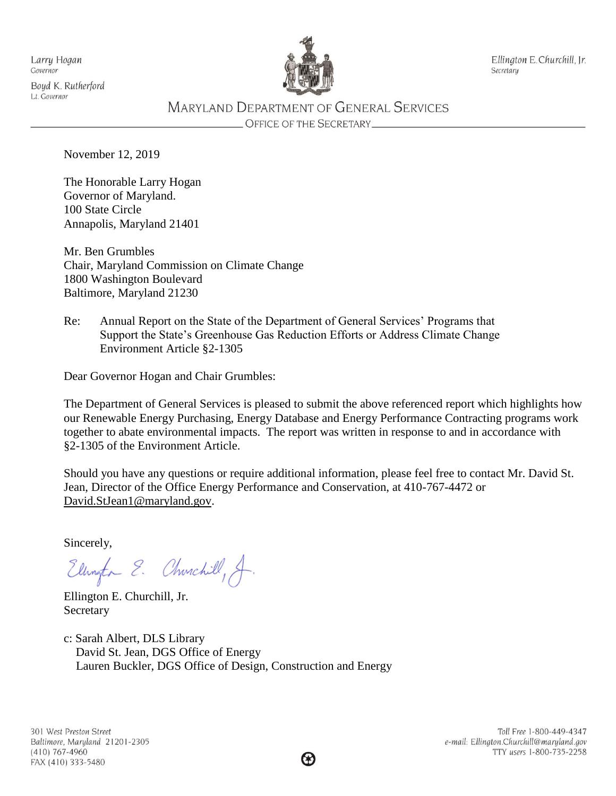Larry Hogan Governor

Boyd K. Rutherford Lt. Governor



Ellington E. Churchill, Jr. Secretary

# **MARYLAND DEPARTMENT OF GENERAL SERVICES**

**OFFICE OF THE SECRETARY\_** 

November 12, 2019

The Honorable Larry Hogan Governor of Maryland. 100 State Circle Annapolis, Maryland 21401

Mr. Ben Grumbles Chair, Maryland Commission on Climate Change 1800 Washington Boulevard Baltimore, Maryland 21230

Re: Annual Report on the State of the Department of General Services' Programs that Support the State's Greenhouse Gas Reduction Efforts or Address Climate Change Environment Article §2-1305

Dear Governor Hogan and Chair Grumbles:

The Department of General Services is pleased to submit the above referenced report which highlights how our Renewable Energy Purchasing, Energy Database and Energy Performance Contracting programs work together to abate environmental impacts. The report was written in response to and in accordance with §2-1305 of the Environment Article.

Should you have any questions or require additional information, please feel free to contact Mr. David St. Jean, Director of the Office Energy Performance and Conservation, at 410-767-4472 or [David.StJean1@maryland.gov.](mailto:David.StJean1@maryland.gov)

Sincerely,

Ellington E. Churchill, A.

Ellington E. Churchill, Jr. Secretary

c: Sarah Albert, DLS Library David St. Jean, DGS Office of Energy Lauren Buckler, DGS Office of Design, Construction and Energy

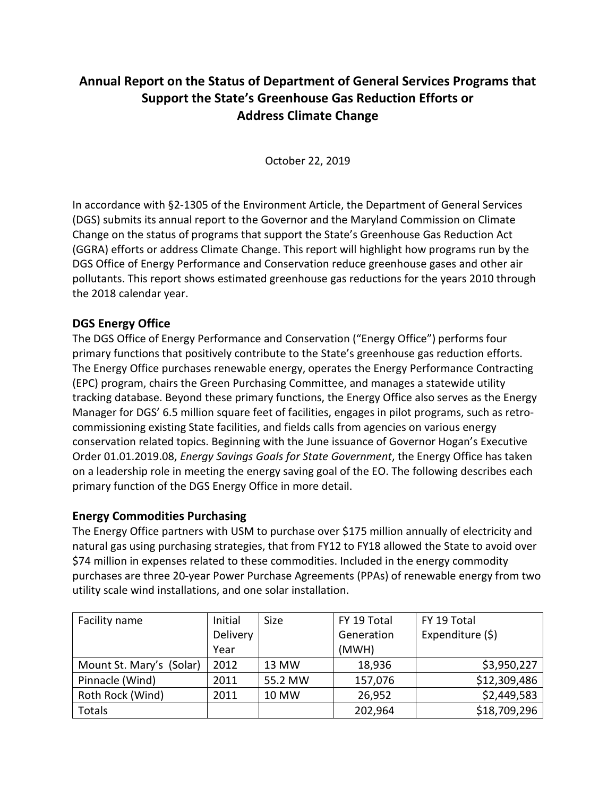# **Annual Report on the Status of Department of General Services Programs that Support the State's Greenhouse Gas Reduction Efforts or Address Climate Change**

October 22, 2019

In accordance with §2-1305 of the Environment Article, the Department of General Services (DGS) submits its annual report to the Governor and the Maryland Commission on Climate Change on the status of programs that support the State's Greenhouse Gas Reduction Act (GGRA) efforts or address Climate Change. This report will highlight how programs run by the DGS Office of Energy Performance and Conservation reduce greenhouse gases and other air pollutants. This report shows estimated greenhouse gas reductions for the years 2010 through the 2018 calendar year.

# **DGS Energy Office**

The DGS Office of Energy Performance and Conservation ("Energy Office") performs four primary functions that positively contribute to the State's greenhouse gas reduction efforts. The Energy Office purchases renewable energy, operates the Energy Performance Contracting (EPC) program, chairs the Green Purchasing Committee, and manages a statewide utility tracking database. Beyond these primary functions, the Energy Office also serves as the Energy Manager for DGS' 6.5 million square feet of facilities, engages in pilot programs, such as retrocommissioning existing State facilities, and fields calls from agencies on various energy conservation related topics. Beginning with the June issuance of Governor Hogan's Executive Order 01.01.2019.08, *Energy Savings Goals for State Government*, the Energy Office has taken on a leadership role in meeting the energy saving goal of the EO. The following describes each primary function of the DGS Energy Office in more detail.

### **Energy Commodities Purchasing**

The Energy Office partners with USM to purchase over \$175 million annually of electricity and natural gas using purchasing strategies, that from FY12 to FY18 allowed the State to avoid over \$74 million in expenses related to these commodities. Included in the energy commodity purchases are three 20-year Power Purchase Agreements (PPAs) of renewable energy from two utility scale wind installations, and one solar installation.

| Facility name            | Initial         | <b>Size</b> | FY 19 Total | FY 19 Total      |  |
|--------------------------|-----------------|-------------|-------------|------------------|--|
|                          | <b>Delivery</b> |             | Generation  | Expenditure (\$) |  |
|                          | Year            |             | (MWH)       |                  |  |
| Mount St. Mary's (Solar) | 2012            | 13 MW       | 18,936      | \$3,950,227      |  |
| Pinnacle (Wind)          | 2011            | 55.2 MW     | 157,076     | \$12,309,486     |  |
| Roth Rock (Wind)         | 2011            | 10 MW       | 26,952      | \$2,449,583      |  |
| Totals                   |                 |             | 202,964     | \$18,709,296     |  |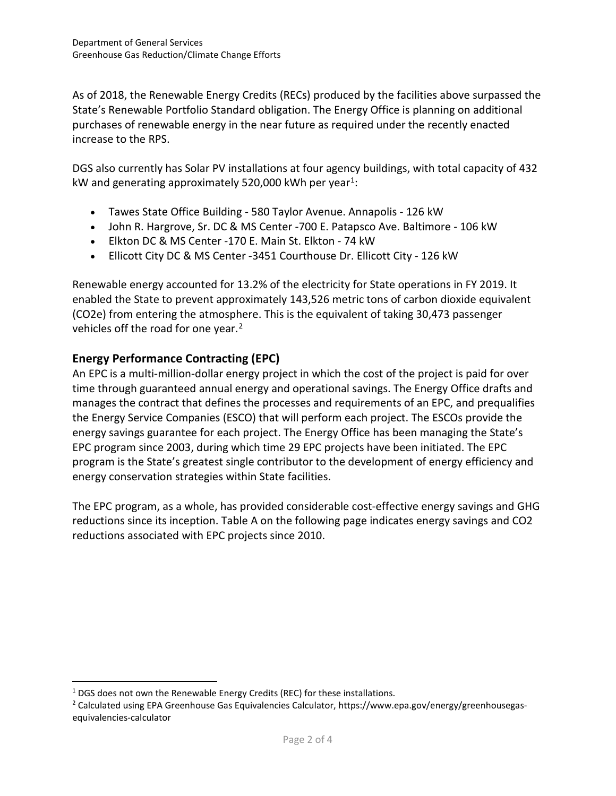As of 2018, the Renewable Energy Credits (RECs) produced by the facilities above surpassed the State's Renewable Portfolio Standard obligation. The Energy Office is planning on additional purchases of renewable energy in the near future as required under the recently enacted increase to the RPS.

DGS also currently has Solar PV installations at four agency buildings, with total capacity of 432 kW and generating approximately 520,000 kWh per year<sup>1</sup>:

- Tawes State Office Building 580 Taylor Avenue. Annapolis 126 kW
- John R. Hargrove, Sr. DC & MS Center -700 E. Patapsco Ave. Baltimore 106 kW
- Elkton DC & MS Center -170 E. Main St. Elkton 74 kW
- Ellicott City DC & MS Center -3451 Courthouse Dr. Ellicott City 126 kW

Renewable energy accounted for 13.2% of the electricity for State operations in FY 2019. It enabled the State to prevent approximately 143,526 metric tons of carbon dioxide equivalent (CO2e) from entering the atmosphere. This is the equivalent of taking 30,473 passenger vehicles off the road for one year.<sup>[2](#page-2-1)</sup>

## **Energy Performance Contracting (EPC)**

An EPC is a multi-million-dollar energy project in which the cost of the project is paid for over time through guaranteed annual energy and operational savings. The Energy Office drafts and manages the contract that defines the processes and requirements of an EPC, and prequalifies the Energy Service Companies (ESCO) that will perform each project. The ESCOs provide the energy savings guarantee for each project. The Energy Office has been managing the State's EPC program since 2003, during which time 29 EPC projects have been initiated. The EPC program is the State's greatest single contributor to the development of energy efficiency and energy conservation strategies within State facilities.

The EPC program, as a whole, has provided considerable cost-effective energy savings and GHG reductions since its inception. Table A on the following page indicates energy savings and CO2 reductions associated with EPC projects since 2010.

 $\overline{a}$ 

<span id="page-2-0"></span><sup>&</sup>lt;sup>1</sup> DGS does not own the Renewable Energy Credits (REC) for these installations.

<span id="page-2-1"></span><sup>2</sup> Calculated using EPA Greenhouse Gas Equivalencies Calculator, https://www.epa.gov/energy/greenhousegasequivalencies-calculator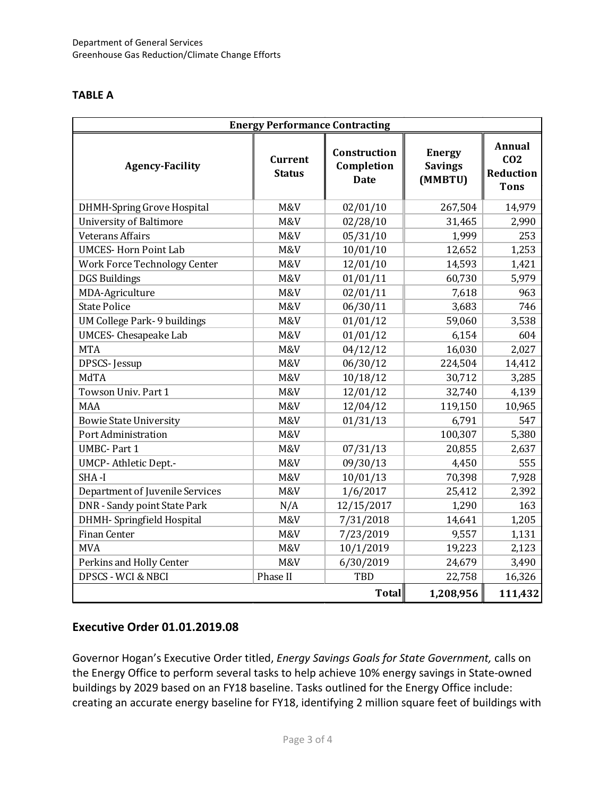#### **TABLE A**

| <b>Energy Performance Contracting</b> |                                 |                                           |                                            |                                                              |  |  |  |
|---------------------------------------|---------------------------------|-------------------------------------------|--------------------------------------------|--------------------------------------------------------------|--|--|--|
| <b>Agency-Facility</b>                | <b>Current</b><br><b>Status</b> | Construction<br>Completion<br><b>Date</b> | <b>Energy</b><br><b>Savings</b><br>(MMBTU) | <b>Annual</b><br>CO <sub>2</sub><br>Reduction<br><b>Tons</b> |  |  |  |
| <b>DHMH-Spring Grove Hospital</b>     | M&V                             | 02/01/10                                  | 267,504                                    | 14,979                                                       |  |  |  |
| <b>University of Baltimore</b>        | M&V                             | 02/28/10                                  | 31,465                                     | 2,990                                                        |  |  |  |
| <b>Veterans Affairs</b>               | M&V                             | 05/31/10                                  | 1,999                                      | 253                                                          |  |  |  |
| <b>UMCES-Horn Point Lab</b>           | M&V                             | 10/01/10                                  | 12,652                                     | 1,253                                                        |  |  |  |
| <b>Work Force Technology Center</b>   | M&V                             | 12/01/10                                  | 14,593                                     | 1,421                                                        |  |  |  |
| <b>DGS</b> Buildings                  | M&V                             | 01/01/11                                  | 60,730                                     | 5,979                                                        |  |  |  |
| MDA-Agriculture                       | M&V                             | 02/01/11                                  | 7,618                                      | 963                                                          |  |  |  |
| <b>State Police</b>                   | M&V                             | 06/30/11                                  | 3,683                                      | 746                                                          |  |  |  |
| UM College Park- 9 buildings          | M&V                             | 01/01/12                                  | 59,060                                     | 3,538                                                        |  |  |  |
| <b>UMCES- Chesapeake Lab</b>          | M&V                             | 01/01/12                                  | 6,154                                      | 604                                                          |  |  |  |
| <b>MTA</b>                            | M&V                             | 04/12/12                                  | 16,030                                     | 2,027                                                        |  |  |  |
| DPSCS-Jessup                          | M&V                             | 06/30/12                                  | 224,504                                    | 14,412                                                       |  |  |  |
| MdTA                                  | M&V                             | 10/18/12                                  | 30,712                                     | 3,285                                                        |  |  |  |
| Towson Univ. Part 1                   | M&V                             | 12/01/12                                  | 32,740                                     | 4,139                                                        |  |  |  |
| <b>MAA</b>                            | M&V                             | 12/04/12                                  | 119,150                                    | 10,965                                                       |  |  |  |
| <b>Bowie State University</b>         | M&V                             | 01/31/13                                  | 6,791                                      | 547                                                          |  |  |  |
| Port Administration                   | M&V                             |                                           | 100,307                                    | 5,380                                                        |  |  |  |
| <b>UMBC-Part 1</b>                    | M&V                             | 07/31/13                                  | 20,855                                     | 2,637                                                        |  |  |  |
| <b>UMCP-Athletic Dept-</b>            | M&V                             | 09/30/13                                  | 4,450                                      | 555                                                          |  |  |  |
| SHA-I                                 | M&V                             | 10/01/13                                  | 70,398                                     | 7,928                                                        |  |  |  |
| Department of Juvenile Services       | M&V                             | 1/6/2017                                  | 25,412                                     | 2,392                                                        |  |  |  |
| DNR - Sandy point State Park          | N/A                             | 12/15/2017                                | 1,290                                      | 163                                                          |  |  |  |
| DHMH- Springfield Hospital            | M&V                             | 7/31/2018                                 | 14,641                                     | 1,205                                                        |  |  |  |
| <b>Finan Center</b>                   | M&V                             | 7/23/2019                                 | 9,557                                      | 1,131                                                        |  |  |  |
| <b>MVA</b>                            | M&V                             | 10/1/2019                                 | 19,223                                     | 2,123                                                        |  |  |  |
| Perkins and Holly Center              | M&V                             | 6/30/2019                                 | 24,679                                     | 3,490                                                        |  |  |  |
| <b>DPSCS - WCI &amp; NBCI</b>         | Phase II                        | TBD                                       | 22,758                                     | 16,326                                                       |  |  |  |
|                                       | 1,208,956                       | 111,432                                   |                                            |                                                              |  |  |  |

### **Executive Order 01.01.2019.08**

Governor Hogan's Executive Order titled, *Energy Savings Goals for State Government,* calls on the Energy Office to perform several tasks to help achieve 10% energy savings in State-owned buildings by 2029 based on an FY18 baseline. Tasks outlined for the Energy Office include: creating an accurate energy baseline for FY18, identifying 2 million square feet of buildings with